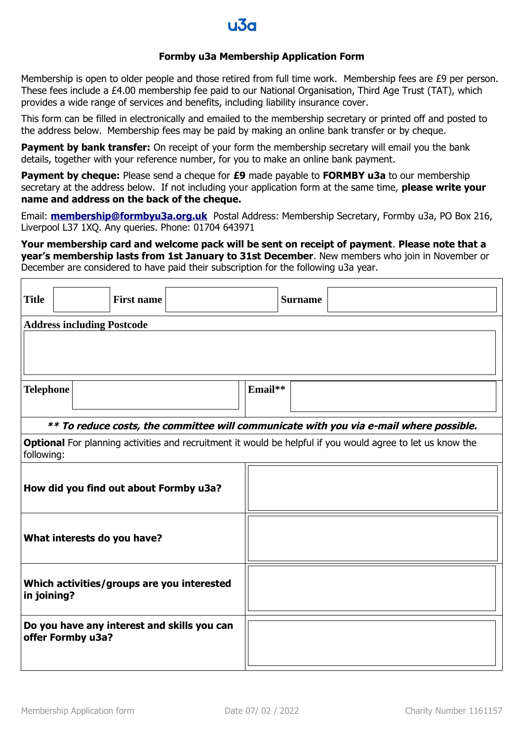

### **Formby u3a Membership Application Form**

Membership is open to older people and those retired from full time work. Membership fees are £9 per person. These fees include a £4.00 membership fee paid to our National Organisation, Third Age Trust (TAT), which provides a wide range of services and benefits, including liability insurance cover.

This form can be filled in electronically and emailed to the membership secretary or printed off and posted to the address below. Membership fees may be paid by making an online bank transfer or by cheque.

**Payment by bank transfer:** On receipt of your form the membership secretary will email you the bank details, together with your reference number, for you to make an online bank payment.

**Payment by cheque:** Please send a cheque for **£9** made payable to **FORMBY u3a** to our membership secretary at the address below. If not including your application form at the same time, **please write your name and address on the back of the cheque.**

Email: **[membership@formbyu3a.org.uk](mailto:membership@formbyu3a.org.uk)** Postal Address: Membership Secretary, Formby u3a, PO Box 216, Liverpool L37 1XQ. Any queries. Phone: 01704 643971

**Your membership card and welcome pack will be sent on receipt of payment**. **Please note that a year's membership lasts from 1st January to 31st December**. New members who join in November or December are considered to have paid their subscription for the following u3a year.

| <b>Title</b>                                                                                                                    |  |  | <b>First name</b> |  |         | <b>Surname</b> |  |  |  |
|---------------------------------------------------------------------------------------------------------------------------------|--|--|-------------------|--|---------|----------------|--|--|--|
| <b>Address including Postcode</b>                                                                                               |  |  |                   |  |         |                |  |  |  |
|                                                                                                                                 |  |  |                   |  |         |                |  |  |  |
| <b>Telephone</b>                                                                                                                |  |  |                   |  | Email** |                |  |  |  |
| ** To reduce costs, the committee will communicate with you via e-mail where possible.                                          |  |  |                   |  |         |                |  |  |  |
| <b>Optional</b> For planning activities and recruitment it would be helpful if you would agree to let us know the<br>following: |  |  |                   |  |         |                |  |  |  |
| How did you find out about Formby u3a?                                                                                          |  |  |                   |  |         |                |  |  |  |
| What interests do you have?                                                                                                     |  |  |                   |  |         |                |  |  |  |
| Which activities/groups are you interested<br>in joining?                                                                       |  |  |                   |  |         |                |  |  |  |
| Do you have any interest and skills you can<br>offer Formby u3a?                                                                |  |  |                   |  |         |                |  |  |  |